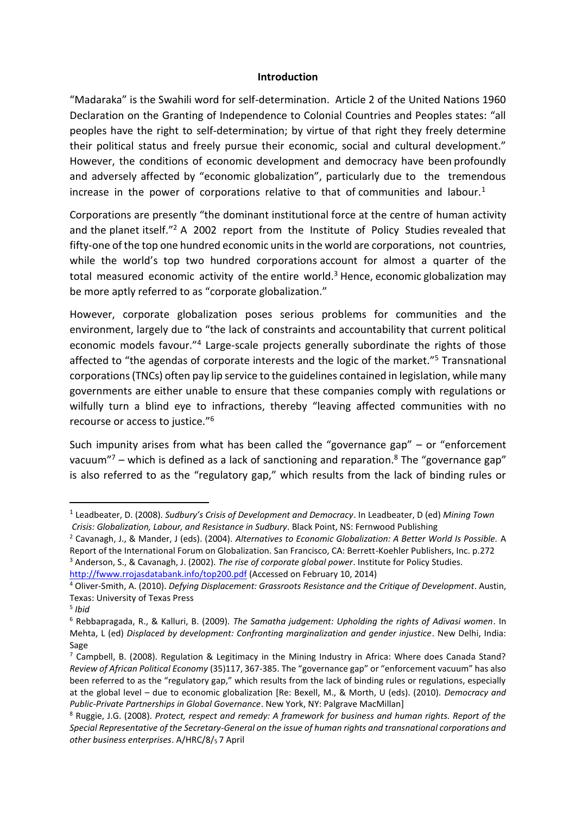## **Introduction**

"Madaraka" is the Swahili word for self-determination. Article 2 of the United Nations 1960 Declaration on the Granting of Independence to Colonial Countries and Peoples states: "all peoples have the right to self-determination; by virtue of that right they freely determine their political status and freely pursue their economic, social and cultural development." However, the conditions of economic development and democracy have been profoundly and adversely affected by "economic globalization", particularly due to the tremendous increase in the power of corporations relative to that of communities and labour.<sup>1</sup>

Corporations are presently "the dominant institutional force at the centre of human activity and the planet itself."<sup>2</sup> A 2002 report from the Institute of Policy Studies revealed that fifty-one of the top one hundred economic units in the world are corporations, not countries, while the world's top two hundred corporations account for almost a quarter of the total measured economic activity of the entire world. $3$  Hence, economic globalization may be more aptly referred to as "corporate globalization."

However, corporate globalization poses serious problems for communities and the environment, largely due to "the lack of constraints and accountability that current political economic models favour."<sup>4</sup> Large-scale projects generally subordinate the rights of those affected to "the agendas of corporate interests and the logic of the market."<sup>5</sup> Transnational corporations (TNCs) often pay lip service to the guidelines contained in legislation, while many governments are either unable to ensure that these companies comply with regulations or wilfully turn a blind eye to infractions, thereby "leaving affected communities with no recourse or access to justice."<sup>6</sup>

Such impunity arises from what has been called the "governance gap" – or "enforcement vacuum"<sup>7</sup> – which is defined as a lack of sanctioning and reparation.<sup>8</sup> The "governance gap" is also referred to as the "regulatory gap," which results from the lack of binding rules or

[http://fwww.rrojasdatabank.info/top200.pdf](http://www.ips-dc.org/reports/top200.html) (Accessed on February 10, 2014)

<sup>1</sup> Leadbeater, D. (2008). *Sudbury's Crisis of Development and Democracy*. In Leadbeater, D (ed) *Mining Town Crisis: Globalization, Labour, and Resistance in Sudbury*. Black Point, NS: Fernwood Publishing

<sup>2</sup> Cavanagh, J., & Mander, J (eds). (2004). *Alternatives to Economic Globalization: A Better World Is Possible.* A Report of the International Forum on Globalization. San Francisco, CA: Berrett-Koehler Publishers, Inc. p.272 <sup>3</sup> Anderson, S., & Cavanagh, J. (2002). *The rise of corporate global power*. Institute for Policy Studies.

<sup>4</sup> Oliver-Smith, A. (2010). *Defying Displacement: Grassroots Resistance and the Critique of Development*. Austin, Texas: University of Texas Press

<sup>5</sup> *Ibid*

<sup>6</sup> Rebbapragada, R., & Kalluri, B. (2009). *The Samatha judgement: Upholding the rights of Adivasi women*. In Mehta, L (ed) *Displaced by development: Confronting marginalization and gender injustice*. New Delhi, India: Sage

 $7$  Campbell, B. (2008). Regulation & Legitimacy in the Mining Industry in Africa: Where does Canada Stand? *Review of African Political Economy* (35)117, 367-385. The "governance gap" or "enforcement vacuum" has also been referred to as the "regulatory gap," which results from the lack of binding rules or regulations, especially at the global level – due to economic globalization [Re: Bexell, M., & Morth, U (eds). (2010). *Democracy and Public-Private Partnerships in Global Governance*. New York, NY: Palgrave MacMillan]

<sup>8</sup> Ruggie, J.G. (2008). *Protect, respect and remedy: A framework for business and human rights. Report of the Special Representative of the Secretary-General on the issue of human rights and transnational corporations and other business enterprises*. A/HRC/8/5 7 April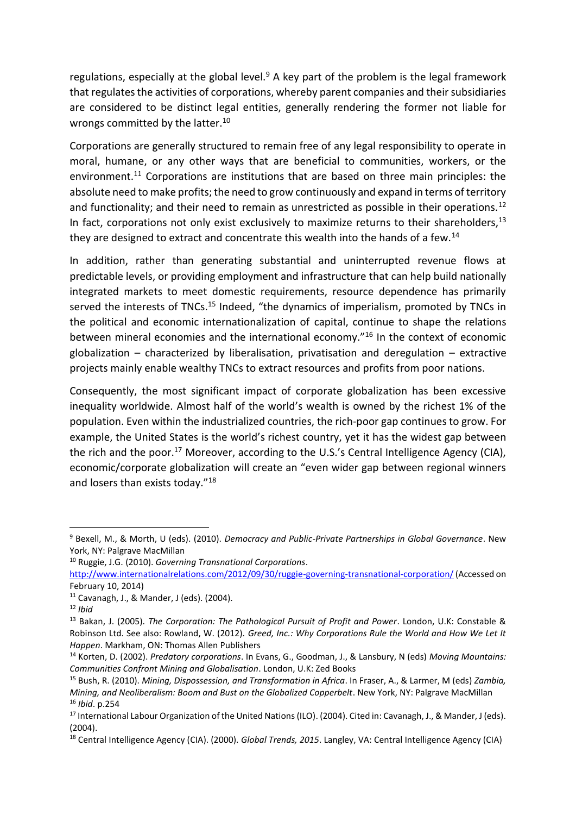regulations, especially at the global level.<sup>9</sup> A key part of the problem is the legal framework that regulates the activities of corporations, whereby parent companies and their subsidiaries are considered to be distinct legal entities, generally rendering the former not liable for wrongs committed by the latter.<sup>10</sup>

Corporations are generally structured to remain free of any legal responsibility to operate in moral, humane, or any other ways that are beneficial to communities, workers, or the environment.<sup>11</sup> Corporations are institutions that are based on three main principles: the absolute need to make profits; the need to grow continuously and expand in terms of territory and functionality; and their need to remain as unrestricted as possible in their operations.<sup>12</sup> In fact, corporations not only exist exclusively to maximize returns to their shareholders,  $13$ they are designed to extract and concentrate this wealth into the hands of a few.<sup>14</sup>

In addition, rather than generating substantial and uninterrupted revenue flows at predictable levels, or providing employment and infrastructure that can help build nationally integrated markets to meet domestic requirements, resource dependence has primarily served the interests of TNCs.<sup>15</sup> Indeed, "the dynamics of imperialism, promoted by TNCs in the political and economic internationalization of capital, continue to shape the relations between mineral economies and the international economy."<sup>16</sup> In the context of economic globalization – characterized by liberalisation, privatisation and deregulation – extractive projects mainly enable wealthy TNCs to extract resources and profits from poor nations.

Consequently, the most significant impact of corporate globalization has been excessive inequality worldwide. Almost half of the world's wealth is owned by the richest 1% of the population. Even within the industrialized countries, the rich-poor gap continues to grow. For example, the United States is the world's richest country, yet it has the widest gap between the rich and the poor.<sup>17</sup> Moreover, according to the U.S.'s Central Intelligence Agency (CIA), economic/corporate globalization will create an "even wider gap between regional winners and losers than exists today."<sup>18</sup>

<sup>10</sup> Ruggie, J.G. (2010). *Governing Transnational Corporations*.

<sup>9</sup> Bexell, M., & Morth, U (eds). (2010). *Democracy and Public-Private Partnerships in Global Governance*. New York, NY: Palgrave MacMillan

[http://www.internationalrelations.com/2012/09/30/ruggie-governing-transnational-corporation/\(](http://www.internationalrelations.com/2012/09/30/ruggie-governing-transnational-corporation/)Accessed on February 10, 2014)

<sup>11</sup> Cavanagh, J., & Mander, J (eds). (2004).

<sup>12</sup> *Ibid*

<sup>13</sup> Bakan, J. (2005). *The Corporation: The Pathological Pursuit of Profit and Power*. London, U.K: Constable & Robinson Ltd. See also: Rowland, W. (2012). *Greed, Inc.: Why Corporations Rule the World and How We Let It Happen*. Markham, ON: Thomas Allen Publishers

<sup>14</sup> Korten, D. (2002). *Predatory corporations*. In Evans, G., Goodman, J., & Lansbury, N (eds) *Moving Mountains: Communities Confront Mining and Globalisation*. London, U.K: Zed Books

<sup>15</sup> Bush, R. (2010). *Mining, Dispossession, and Transformation in Africa*. In Fraser, A., & Larmer, M (eds) *Zambia, Mining, and Neoliberalism: Boom and Bust on the Globalized Copperbelt*. New York, NY: Palgrave MacMillan <sup>16</sup> *Ibid*. p.254

<sup>&</sup>lt;sup>17</sup> International Labour Organization of the United Nations (ILO). (2004). Cited in: Cavanagh, J., & Mander, J (eds). (2004).

<sup>18</sup> Central Intelligence Agency (CIA). (2000). *Global Trends, 2015*. Langley, VA: Central Intelligence Agency (CIA)